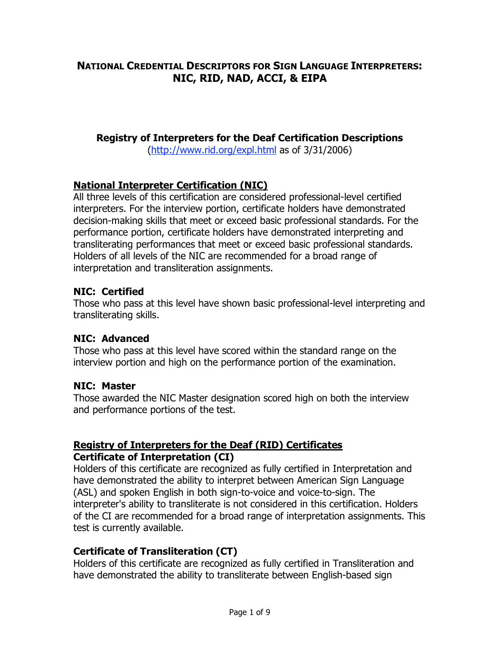# **NATIONAL CREDENTIAL DESCRIPTORS FOR SIGN LANGUAGE INTERPRETERS: NIC, RID, NAD, ACCI, & EIPA**

### **Registry of Interpreters for the Deaf Certification Descriptions**

(http://www.rid.org/expl.html as of 3/31/2006)

# **National Interpreter Certification (NIC)**

All three levels of this certification are considered professional-level certified interpreters. For the interview portion, certificate holders have demonstrated decision-making skills that meet or exceed basic professional standards. For the performance portion, certificate holders have demonstrated interpreting and transliterating performances that meet or exceed basic professional standards. Holders of all levels of the NIC are recommended for a broad range of interpretation and transliteration assignments.

### **NIC: Certified**

Those who pass at this level have shown basic professional-level interpreting and transliterating skills.

#### **NIC: Advanced**

Those who pass at this level have scored within the standard range on the interview portion and high on the performance portion of the examination.

#### **NIC: Master**

Those awarded the NIC Master designation scored high on both the interview and performance portions of the test.

### **Registry of Interpreters for the Deaf (RID) Certificates Certificate of Interpretation (CI)**

Holders of this certificate are recognized as fully certified in Interpretation and have demonstrated the ability to interpret between American Sign Language (ASL) and spoken English in both sign-to-voice and voice-to-sign. The interpreter's ability to transliterate is not considered in this certification. Holders of the CI are recommended for a broad range of interpretation assignments. This test is currently available.

#### **Certificate of Transliteration (CT)**

Holders of this certificate are recognized as fully certified in Transliteration and have demonstrated the ability to transliterate between English-based sign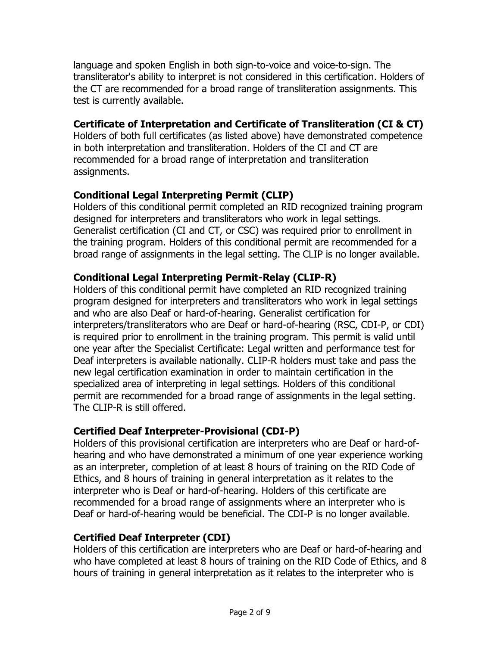language and spoken English in both sign-to-voice and voice-to-sign. The transliterator's ability to interpret is not considered in this certification. Holders of the CT are recommended for a broad range of transliteration assignments. This test is currently available.

## **Certificate of Interpretation and Certificate of Transliteration (CI & CT)**

Holders of both full certificates (as listed above) have demonstrated competence in both interpretation and transliteration. Holders of the CI and CT are recommended for a broad range of interpretation and transliteration assignments.

# **Conditional Legal Interpreting Permit (CLIP)**

Holders of this conditional permit completed an RID recognized training program designed for interpreters and transliterators who work in legal settings. Generalist certification (CI and CT, or CSC) was required prior to enrollment in the training program. Holders of this conditional permit are recommended for a broad range of assignments in the legal setting. The CLIP is no longer available.

# **Conditional Legal Interpreting Permit-Relay (CLIP-R)**

Holders of this conditional permit have completed an RID recognized training program designed for interpreters and transliterators who work in legal settings and who are also Deaf or hard-of-hearing. Generalist certification for interpreters/transliterators who are Deaf or hard-of-hearing (RSC, CDI-P, or CDI) is required prior to enrollment in the training program. This permit is valid until one year after the Specialist Certificate: Legal written and performance test for Deaf interpreters is available nationally. CLIP-R holders must take and pass the new legal certification examination in order to maintain certification in the specialized area of interpreting in legal settings. Holders of this conditional permit are recommended for a broad range of assignments in the legal setting. The CLIP-R is still offered.

# **Certified Deaf Interpreter-Provisional (CDI-P)**

Holders of this provisional certification are interpreters who are Deaf or hard-ofhearing and who have demonstrated a minimum of one year experience working as an interpreter, completion of at least 8 hours of training on the RID Code of Ethics, and 8 hours of training in general interpretation as it relates to the interpreter who is Deaf or hard-of-hearing. Holders of this certificate are recommended for a broad range of assignments where an interpreter who is Deaf or hard-of-hearing would be beneficial. The CDI-P is no longer available.

# **Certified Deaf Interpreter (CDI)**

Holders of this certification are interpreters who are Deaf or hard-of-hearing and who have completed at least 8 hours of training on the RID Code of Ethics, and 8 hours of training in general interpretation as it relates to the interpreter who is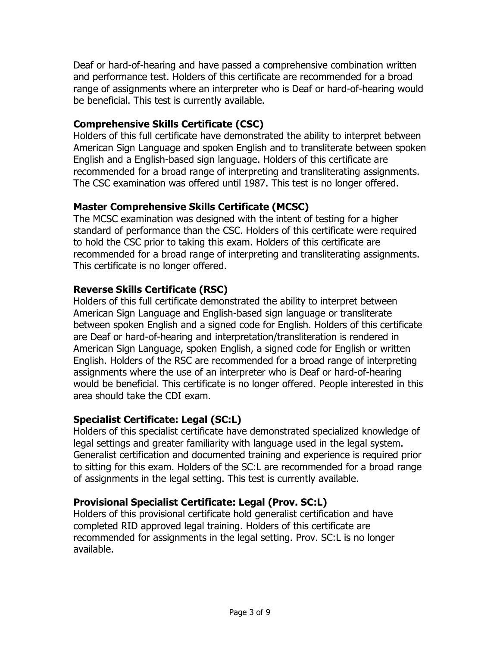Deaf or hard-of-hearing and have passed a comprehensive combination written and performance test. Holders of this certificate are recommended for a broad range of assignments where an interpreter who is Deaf or hard-of-hearing would be beneficial. This test is currently available.

## **Comprehensive Skills Certificate (CSC)**

Holders of this full certificate have demonstrated the ability to interpret between American Sign Language and spoken English and to transliterate between spoken English and a English-based sign language. Holders of this certificate are recommended for a broad range of interpreting and transliterating assignments. The CSC examination was offered until 1987. This test is no longer offered.

### **Master Comprehensive Skills Certificate (MCSC)**

The MCSC examination was designed with the intent of testing for a higher standard of performance than the CSC. Holders of this certificate were required to hold the CSC prior to taking this exam. Holders of this certificate are recommended for a broad range of interpreting and transliterating assignments. This certificate is no longer offered.

# **Reverse Skills Certificate (RSC)**

Holders of this full certificate demonstrated the ability to interpret between American Sign Language and English-based sign language or transliterate between spoken English and a signed code for English. Holders of this certificate are Deaf or hard-of-hearing and interpretation/transliteration is rendered in American Sign Language, spoken English, a signed code for English or written English. Holders of the RSC are recommended for a broad range of interpreting assignments where the use of an interpreter who is Deaf or hard-of-hearing would be beneficial. This certificate is no longer offered. People interested in this area should take the CDI exam.

#### **Specialist Certificate: Legal (SC:L)**

Holders of this specialist certificate have demonstrated specialized knowledge of legal settings and greater familiarity with language used in the legal system. Generalist certification and documented training and experience is required prior to sitting for this exam. Holders of the SC:L are recommended for a broad range of assignments in the legal setting. This test is currently available.

#### **Provisional Specialist Certificate: Legal (Prov. SC:L)**

Holders of this provisional certificate hold generalist certification and have completed RID approved legal training. Holders of this certificate are recommended for assignments in the legal setting. Prov. SC:L is no longer available.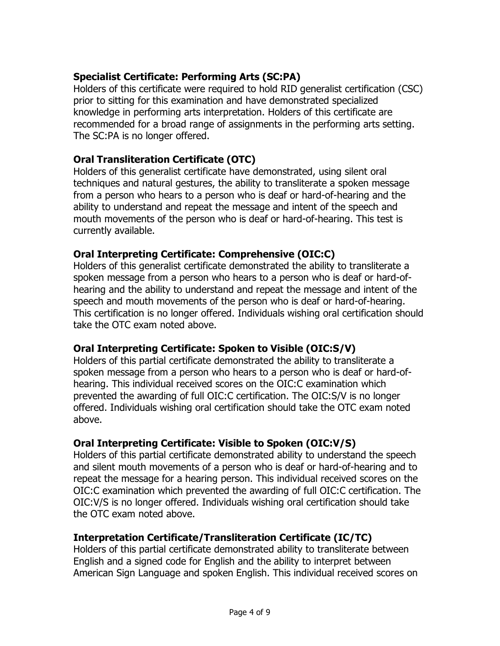# **Specialist Certificate: Performing Arts (SC:PA)**

Holders of this certificate were required to hold RID generalist certification (CSC) prior to sitting for this examination and have demonstrated specialized knowledge in performing arts interpretation. Holders of this certificate are recommended for a broad range of assignments in the performing arts setting. The SC:PA is no longer offered.

# **Oral Transliteration Certificate (OTC)**

Holders of this generalist certificate have demonstrated, using silent oral techniques and natural gestures, the ability to transliterate a spoken message from a person who hears to a person who is deaf or hard-of-hearing and the ability to understand and repeat the message and intent of the speech and mouth movements of the person who is deaf or hard-of-hearing. This test is currently available.

### **Oral Interpreting Certificate: Comprehensive (OIC:C)**

Holders of this generalist certificate demonstrated the ability to transliterate a spoken message from a person who hears to a person who is deaf or hard-ofhearing and the ability to understand and repeat the message and intent of the speech and mouth movements of the person who is deaf or hard-of-hearing. This certification is no longer offered. Individuals wishing oral certification should take the OTC exam noted above.

# **Oral Interpreting Certificate: Spoken to Visible (OIC:S/V)**

Holders of this partial certificate demonstrated the ability to transliterate a spoken message from a person who hears to a person who is deaf or hard-ofhearing. This individual received scores on the OIC:C examination which prevented the awarding of full OIC:C certification. The OIC:S/V is no longer offered. Individuals wishing oral certification should take the OTC exam noted above.

# **Oral Interpreting Certificate: Visible to Spoken (OIC:V/S)**

Holders of this partial certificate demonstrated ability to understand the speech and silent mouth movements of a person who is deaf or hard-of-hearing and to repeat the message for a hearing person. This individual received scores on the OIC:C examination which prevented the awarding of full OIC:C certification. The OIC:V/S is no longer offered. Individuals wishing oral certification should take the OTC exam noted above.

# **Interpretation Certificate/Transliteration Certificate (IC/TC)**

Holders of this partial certificate demonstrated ability to transliterate between English and a signed code for English and the ability to interpret between American Sign Language and spoken English. This individual received scores on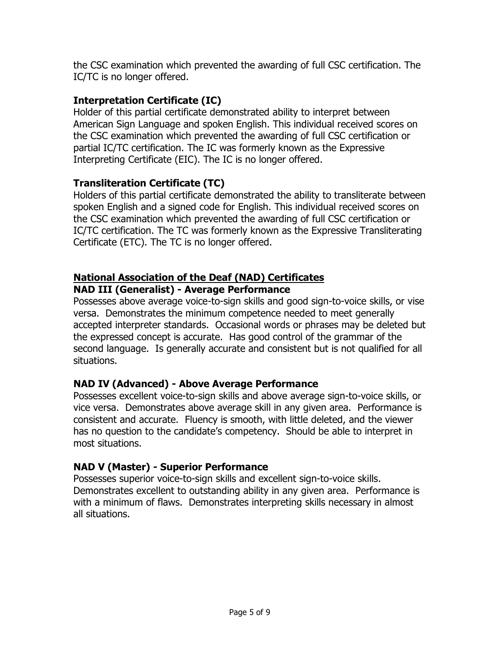the CSC examination which prevented the awarding of full CSC certification. The IC/TC is no longer offered.

# **Interpretation Certificate (IC)**

Holder of this partial certificate demonstrated ability to interpret between American Sign Language and spoken English. This individual received scores on the CSC examination which prevented the awarding of full CSC certification or partial IC/TC certification. The IC was formerly known as the Expressive Interpreting Certificate (EIC). The IC is no longer offered.

# **Transliteration Certificate (TC)**

Holders of this partial certificate demonstrated the ability to transliterate between spoken English and a signed code for English. This individual received scores on the CSC examination which prevented the awarding of full CSC certification or IC/TC certification. The TC was formerly known as the Expressive Transliterating Certificate (ETC). The TC is no longer offered.

#### **National Association of the Deaf (NAD) Certificates NAD III (Generalist) - Average Performance**

Possesses above average voice-to-sign skills and good sign-to-voice skills, or vise versa. Demonstrates the minimum competence needed to meet generally accepted interpreter standards. Occasional words or phrases may be deleted but the expressed concept is accurate. Has good control of the grammar of the second language. Is generally accurate and consistent but is not qualified for all situations.

# **NAD IV (Advanced) - Above Average Performance**

Possesses excellent voice-to-sign skills and above average sign-to-voice skills, or vice versa. Demonstrates above average skill in any given area. Performance is consistent and accurate. Fluency is smooth, with little deleted, and the viewer has no question to the candidate's competency. Should be able to interpret in most situations.

#### **NAD V (Master) - Superior Performance**

Possesses superior voice-to-sign skills and excellent sign-to-voice skills. Demonstrates excellent to outstanding ability in any given area. Performance is with a minimum of flaws. Demonstrates interpreting skills necessary in almost all situations.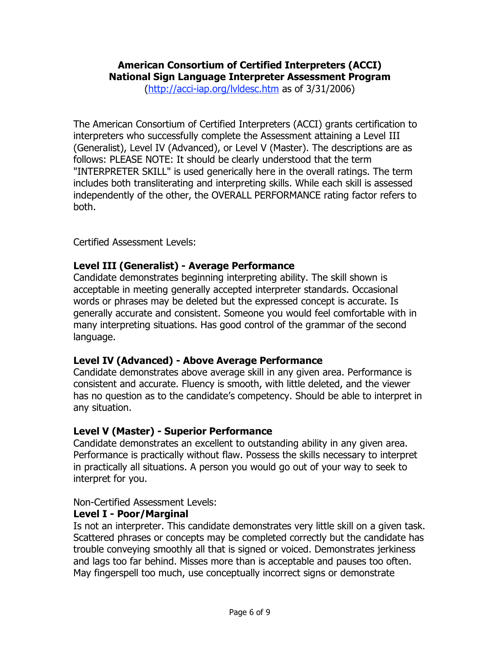## **American Consortium of Certified Interpreters (ACCI) National Sign Language Interpreter Assessment Program**

(http://acci-iap.org/lvldesc.htm as of 3/31/2006)

The American Consortium of Certified Interpreters (ACCI) grants certification to interpreters who successfully complete the Assessment attaining a Level III (Generalist), Level IV (Advanced), or Level V (Master). The descriptions are as follows: PLEASE NOTE: It should be clearly understood that the term "INTERPRETER SKILL" is used generically here in the overall ratings. The term includes both transliterating and interpreting skills. While each skill is assessed independently of the other, the OVERALL PERFORMANCE rating factor refers to both.

Certified Assessment Levels:

### **Level III (Generalist) - Average Performance**

Candidate demonstrates beginning interpreting ability. The skill shown is acceptable in meeting generally accepted interpreter standards. Occasional words or phrases may be deleted but the expressed concept is accurate. Is generally accurate and consistent. Someone you would feel comfortable with in many interpreting situations. Has good control of the grammar of the second language.

#### **Level IV (Advanced) - Above Average Performance**

Candidate demonstrates above average skill in any given area. Performance is consistent and accurate. Fluency is smooth, with little deleted, and the viewer has no question as to the candidate's competency. Should be able to interpret in any situation.

#### **Level V (Master) - Superior Performance**

Candidate demonstrates an excellent to outstanding ability in any given area. Performance is practically without flaw. Possess the skills necessary to interpret in practically all situations. A person you would go out of your way to seek to interpret for you.

#### Non-Certified Assessment Levels:

#### **Level I - Poor/Marginal**

Is not an interpreter. This candidate demonstrates very little skill on a given task. Scattered phrases or concepts may be completed correctly but the candidate has trouble conveying smoothly all that is signed or voiced. Demonstrates jerkiness and lags too far behind. Misses more than is acceptable and pauses too often. May fingerspell too much, use conceptually incorrect signs or demonstrate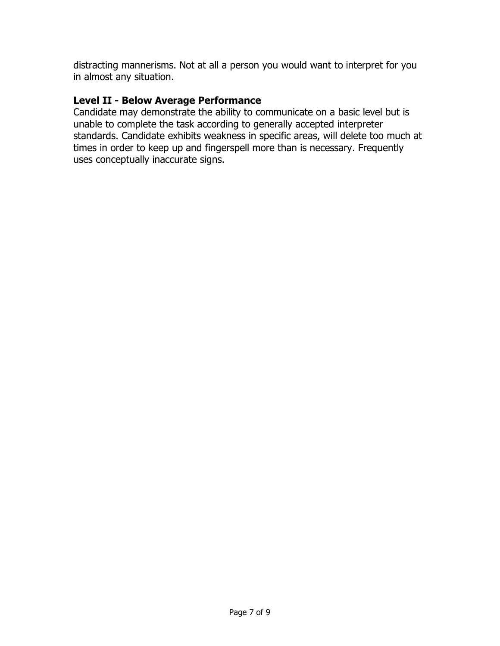distracting mannerisms. Not at all a person you would want to interpret for you in almost any situation.

# **Level II - Below Average Performance**

Candidate may demonstrate the ability to communicate on a basic level but is unable to complete the task according to generally accepted interpreter standards. Candidate exhibits weakness in specific areas, will delete too much at times in order to keep up and fingerspell more than is necessary. Frequently uses conceptually inaccurate signs.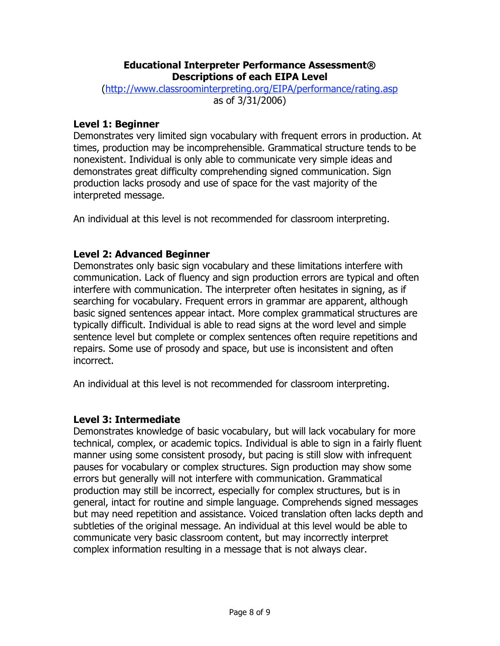#### **Educational Interpreter Performance Assessment® Descriptions of each EIPA Level**

(http://www.classroominterpreting.org/EIPA/performance/rating.asp as of 3/31/2006)

#### **Level 1: Beginner**

Demonstrates very limited sign vocabulary with frequent errors in production. At times, production may be incomprehensible. Grammatical structure tends to be nonexistent. Individual is only able to communicate very simple ideas and demonstrates great difficulty comprehending signed communication. Sign production lacks prosody and use of space for the vast majority of the interpreted message.

An individual at this level is not recommended for classroom interpreting.

#### **Level 2: Advanced Beginner**

Demonstrates only basic sign vocabulary and these limitations interfere with communication. Lack of fluency and sign production errors are typical and often interfere with communication. The interpreter often hesitates in signing, as if searching for vocabulary. Frequent errors in grammar are apparent, although basic signed sentences appear intact. More complex grammatical structures are typically difficult. Individual is able to read signs at the word level and simple sentence level but complete or complex sentences often require repetitions and repairs. Some use of prosody and space, but use is inconsistent and often incorrect.

An individual at this level is not recommended for classroom interpreting.

#### **Level 3: Intermediate**

Demonstrates knowledge of basic vocabulary, but will lack vocabulary for more technical, complex, or academic topics. Individual is able to sign in a fairly fluent manner using some consistent prosody, but pacing is still slow with infrequent pauses for vocabulary or complex structures. Sign production may show some errors but generally will not interfere with communication. Grammatical production may still be incorrect, especially for complex structures, but is in general, intact for routine and simple language. Comprehends signed messages but may need repetition and assistance. Voiced translation often lacks depth and subtleties of the original message. An individual at this level would be able to communicate very basic classroom content, but may incorrectly interpret complex information resulting in a message that is not always clear.